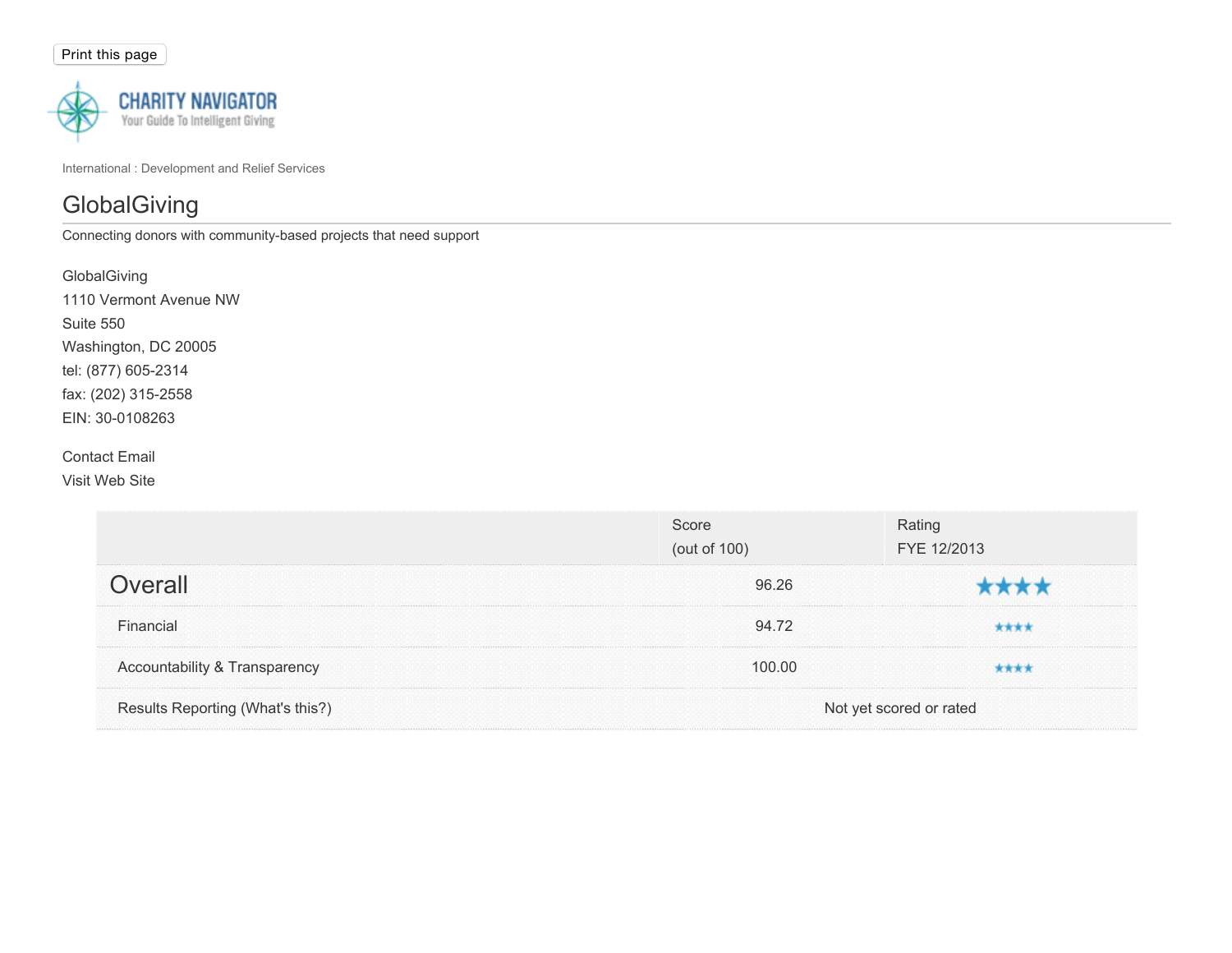

International : Development and Relief Services

# **GlobalGiving**

Connecting donors with community-based projects that need support

| GlobalGiving           |
|------------------------|
| 1110 Vermont Avenue NW |
| Suite 550              |
| Washington, DC 20005   |
| tel: (877) 605-2314    |
| fax: (202) 315-2558    |
| EIN: 30-0108263        |
|                        |

## Contact Email

Visit Web Site

|                                  | Score<br>(out of 100) | Rating<br>FYE 12/2013   |  |
|----------------------------------|-----------------------|-------------------------|--|
| Overall                          | 96.26                 |                         |  |
| Financial                        | 94.72                 |                         |  |
| Accountability & Transparency    | 100.00                |                         |  |
| Results Reporting (What's this?) |                       | Not yet scored or rated |  |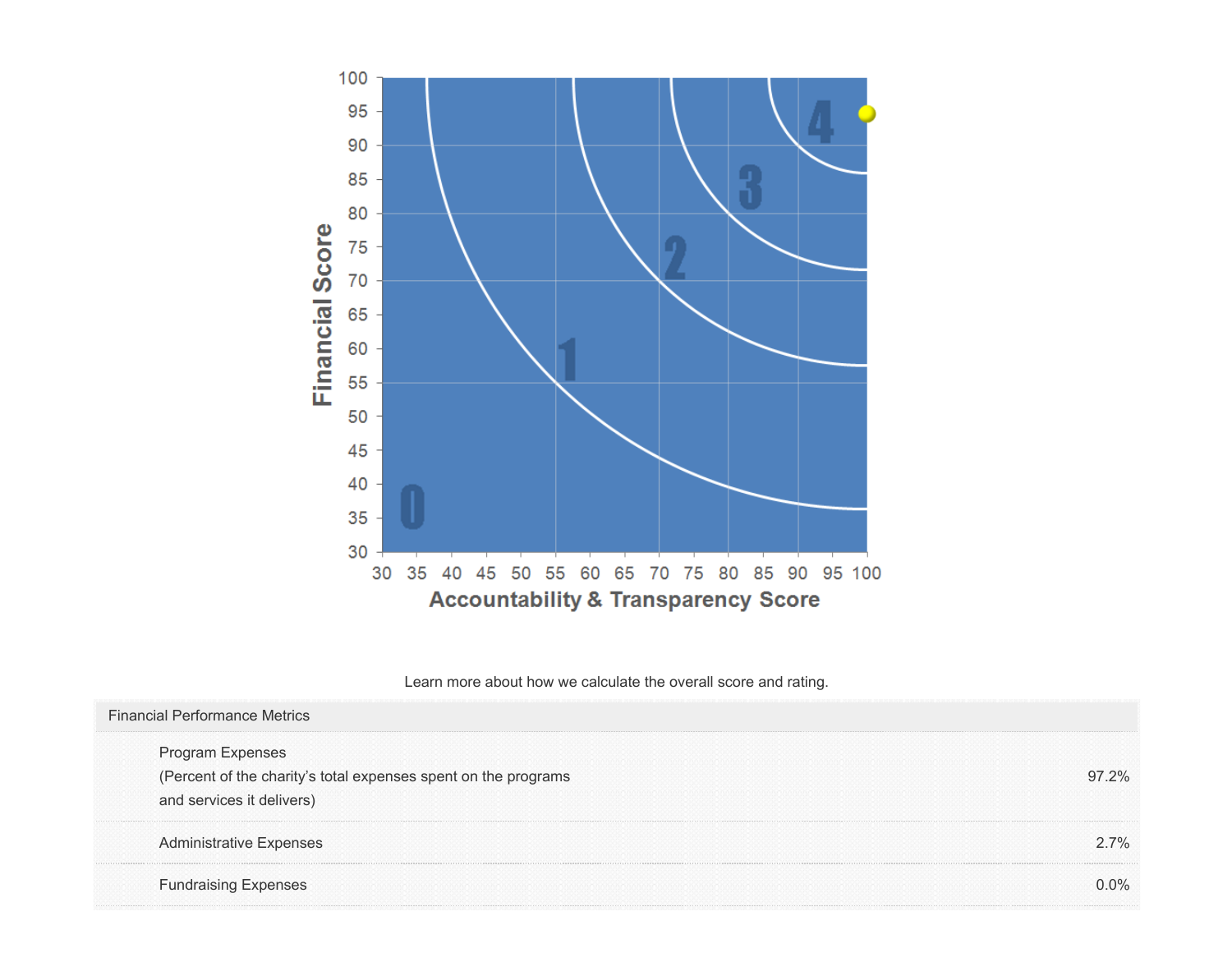

Learn more about how we calculate the overall score and rating.

| <b>Financial Performance Metrics</b>                           |       |
|----------------------------------------------------------------|-------|
| Program Expenses                                               |       |
| (Percent of the charity's total expenses spent on the programs | 97.2% |
| and services it delivers)                                      |       |
| <b>Administrative Expenses</b>                                 | 27%   |
| <b>Fundraising Expenses</b>                                    | ገ በ%  |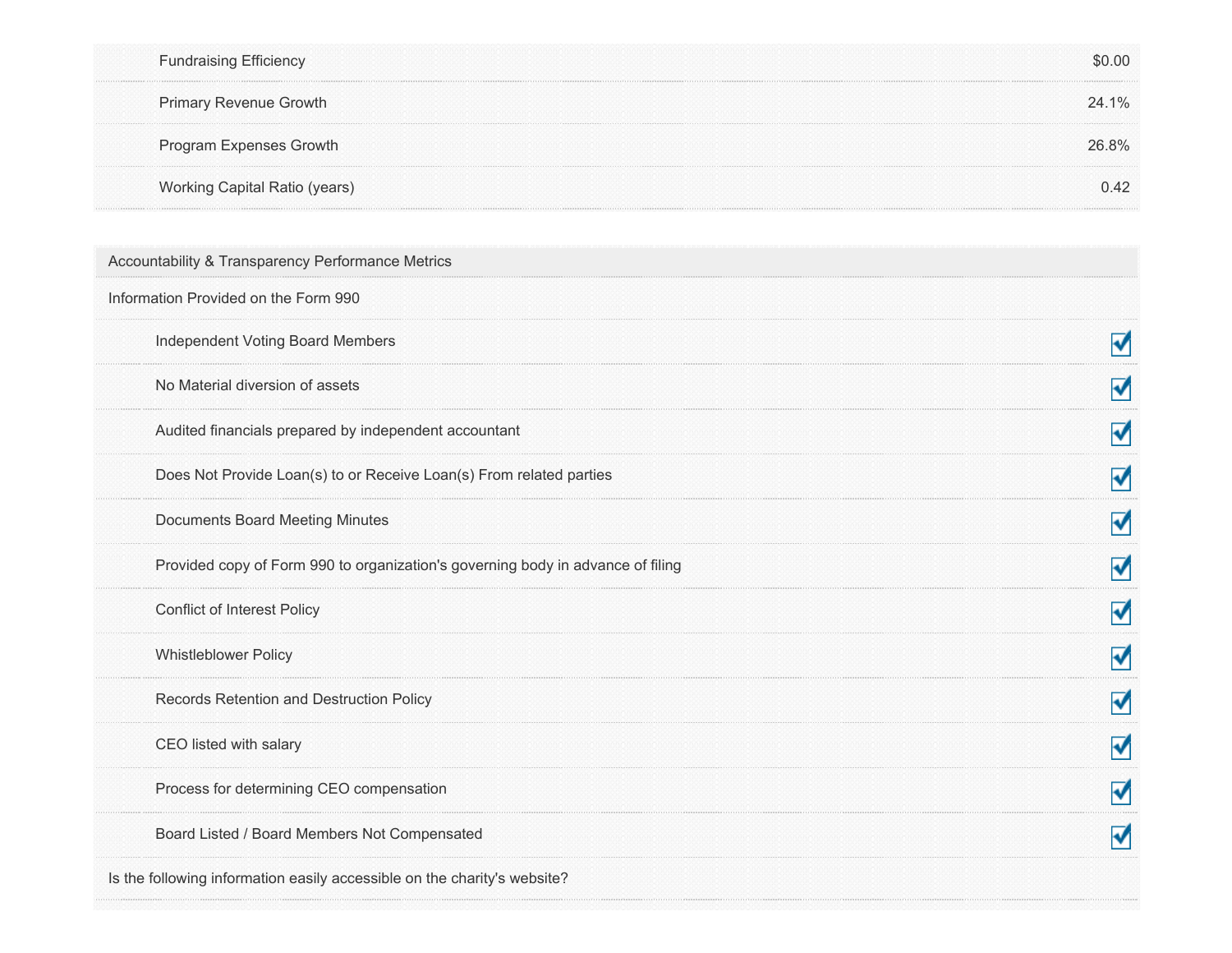| <b>Fundraising Efficiency</b>                                                   | \$0.00 |
|---------------------------------------------------------------------------------|--------|
| Primary Revenue Growth                                                          | 24.1%  |
| Program Expenses Growth                                                         | 26.8%  |
| Working Capital Ratio (years)                                                   | 0.42   |
| Accountability & Transparency Performance Metrics                               |        |
| Information Provided on the Form 990                                            |        |
| Independent Voting Board Members                                                | ⊽      |
| No Material diversion of assets                                                 | ⊽      |
| Audited financials prepared by independent accountant                           | ⊽      |
| Does Not Provide Loan(s) to or Receive Loan(s) From related parties             | ⊽      |
| <b>Documents Board Meeting Minutes</b>                                          | ⊽      |
| Provided copy of Form 990 to organization's governing body in advance of filing | ⊽      |
| Conflict of Interest Policy                                                     | ⊽      |
| <b>Whistleblower Policy</b>                                                     | ⊽      |
| Records Retention and Destruction Policy                                        | √      |
| CEO listed with salary                                                          | M      |
| Process for determining CEO compensation                                        | ⊽      |
| Board Listed / Board Members Not Compensated                                    | √      |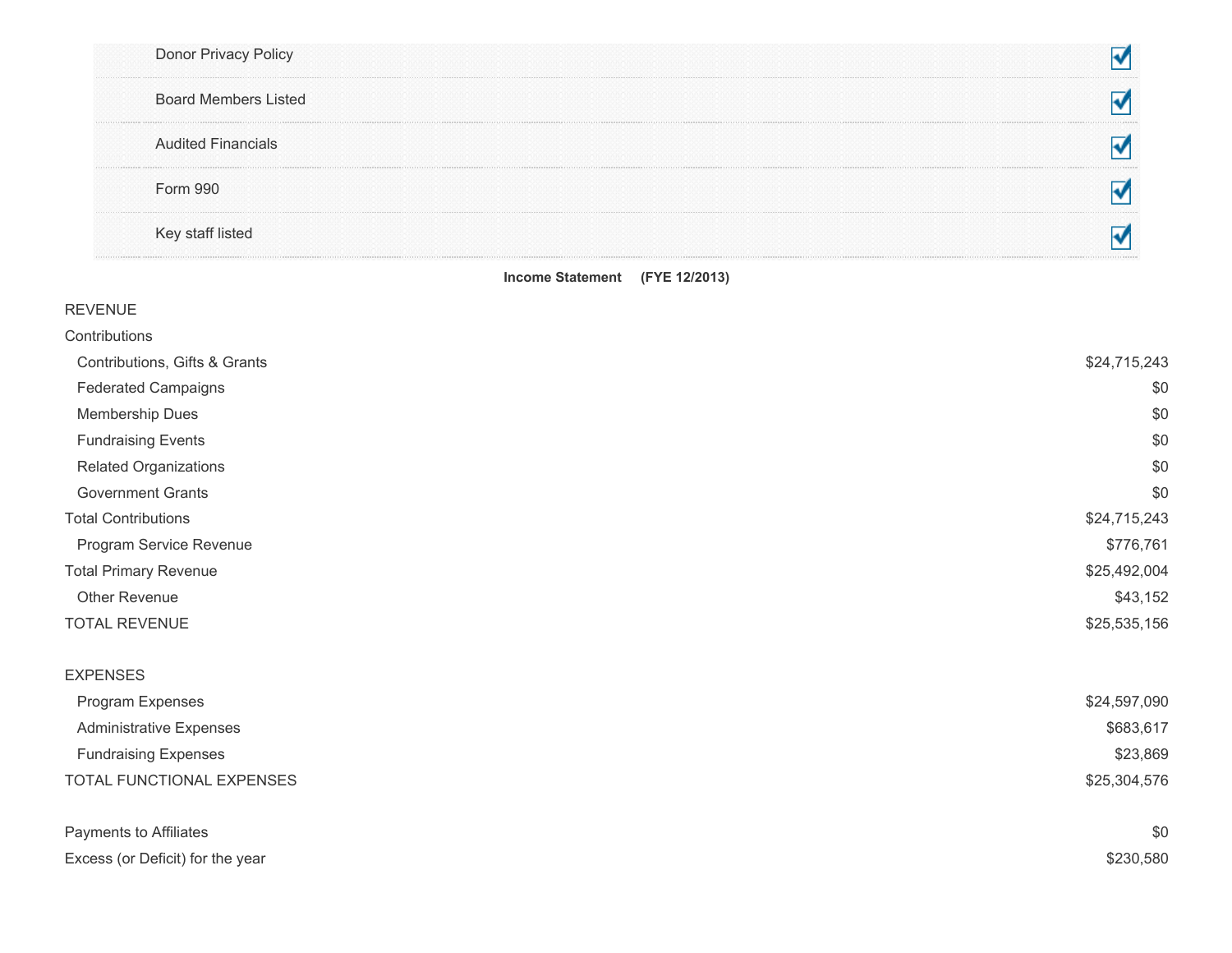|          | Donor Privacy Policy        |  |
|----------|-----------------------------|--|
|          | <b>Board Members Listed</b> |  |
|          | <b>Audited Financials</b>   |  |
| Form 990 |                             |  |
|          | Key staff listed            |  |

#### Income Statement (FYE 12/2013)

| <b>REVENUE</b>                   |              |
|----------------------------------|--------------|
| Contributions                    |              |
| Contributions, Gifts & Grants    | \$24,715,243 |
| <b>Federated Campaigns</b>       | \$0          |
| Membership Dues                  | \$0          |
| <b>Fundraising Events</b>        | \$0          |
| Related Organizations            | \$0          |
| <b>Government Grants</b>         | \$0          |
| <b>Total Contributions</b>       | \$24,715,243 |
| Program Service Revenue          | \$776,761    |
| <b>Total Primary Revenue</b>     | \$25,492,004 |
| Other Revenue                    | \$43,152     |
| <b>TOTAL REVENUE</b>             | \$25,535,156 |
| <b>EXPENSES</b>                  |              |
| Program Expenses                 | \$24,597,090 |
| <b>Administrative Expenses</b>   | \$683,617    |
| <b>Fundraising Expenses</b>      | \$23,869     |
| TOTAL FUNCTIONAL EXPENSES        | \$25,304,576 |
| Payments to Affiliates           | \$0          |
| Excess (or Deficit) for the year | \$230,580    |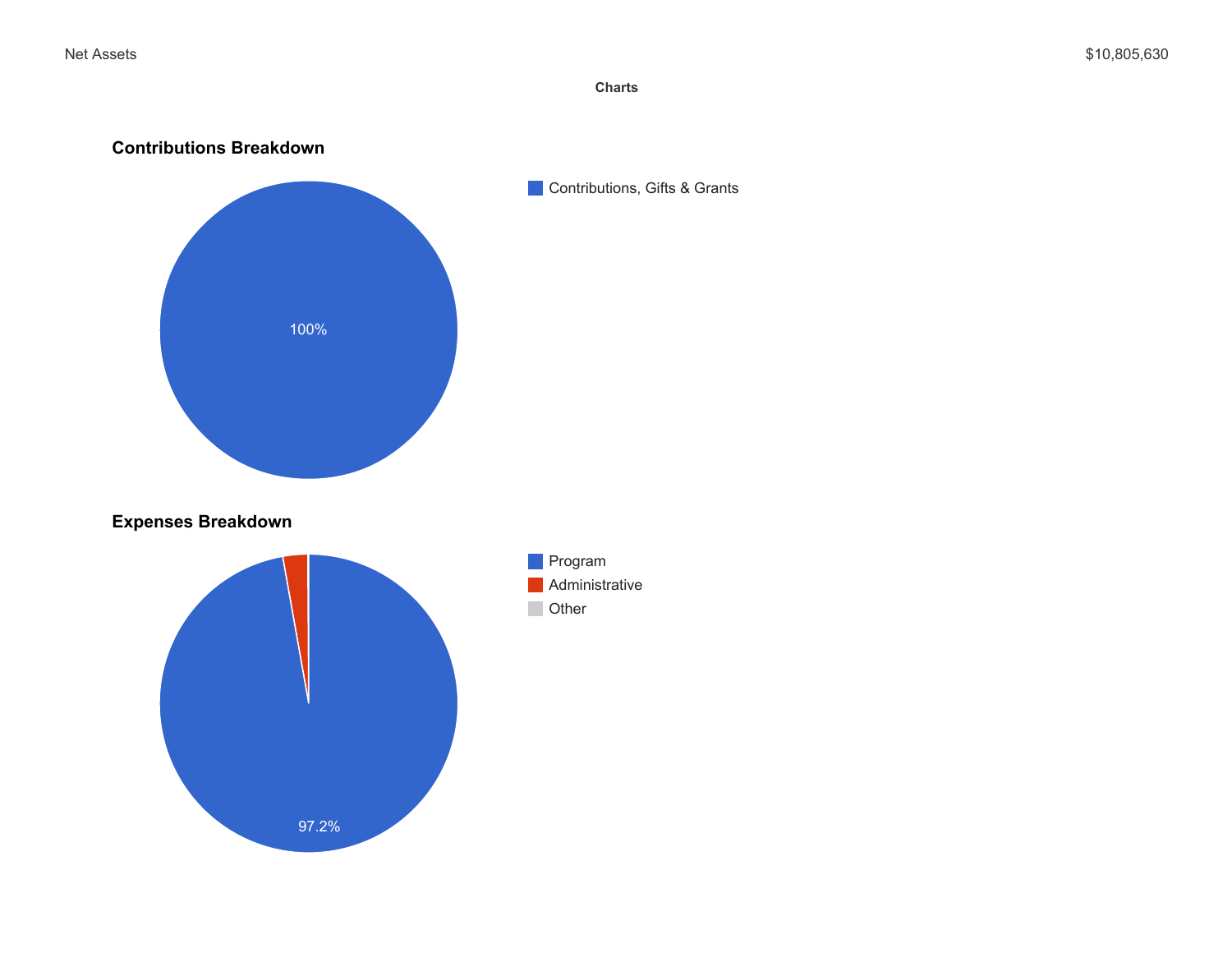**Charts**

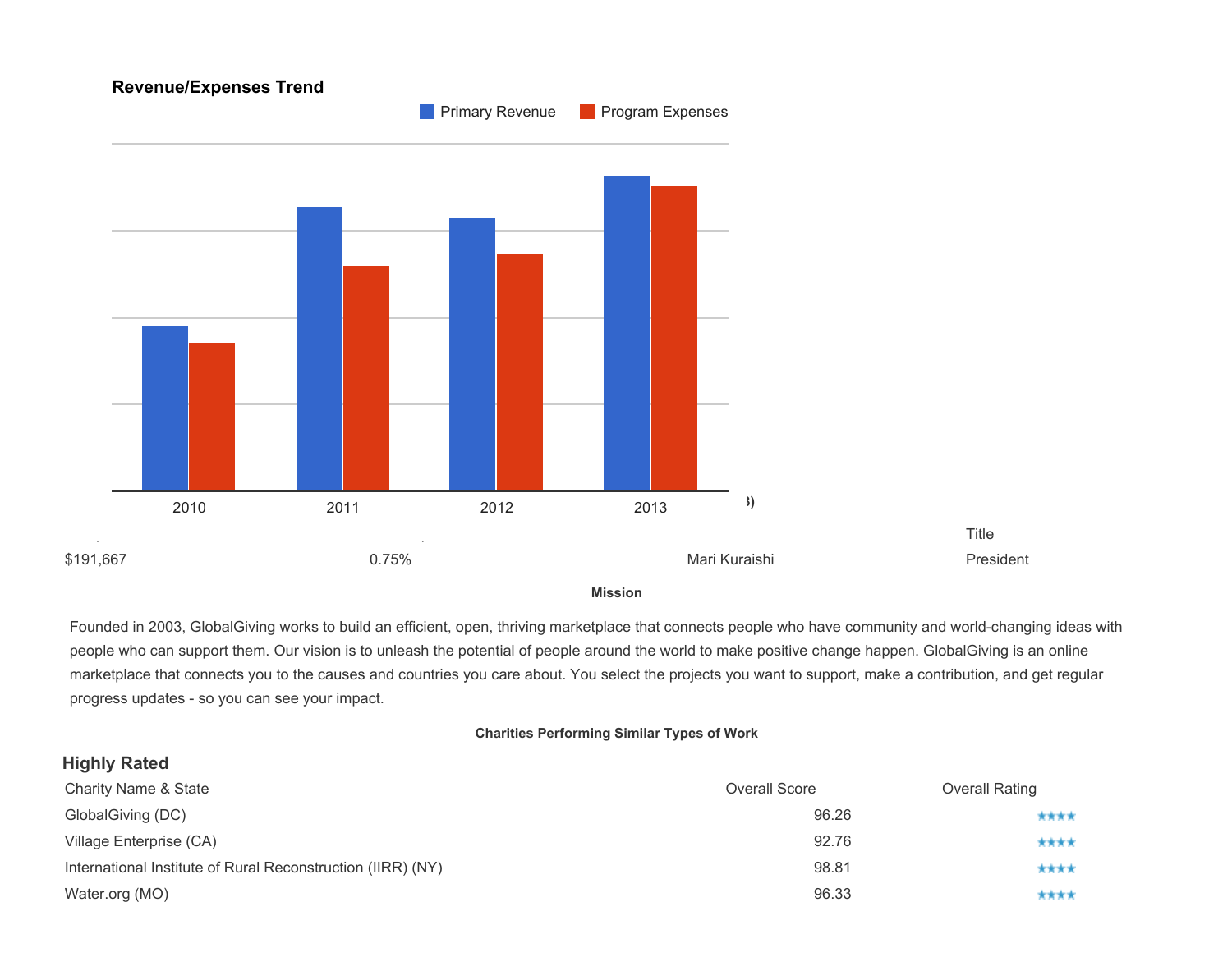

**Mission**

Founded in 2003, GlobalGiving works to build an efficient, open, thriving marketplace that connects people who have community and world-changing ideas with people who can support them. Our vision is to unleash the potential of people around the world to make positive change happen. GlobalGiving is an online marketplace that connects you to the causes and countries you care about. You select the projects you want to support, make a contribution, and get regular progress updates - so you can see your impact.

#### **Charities Performing Similar Types of Work**

### **Highly Rated**

| <b>Charity Name &amp; State</b>                             | Overall Score | <b>Overall Rating</b> |
|-------------------------------------------------------------|---------------|-----------------------|
| GlobalGiving (DC)                                           | 96.26         | ****                  |
| Village Enterprise (CA)                                     | 92.76         | ****                  |
| International Institute of Rural Reconstruction (IIRR) (NY) | 98.81         | ****                  |
| Water.org (MO)                                              | 96.33         | ****                  |